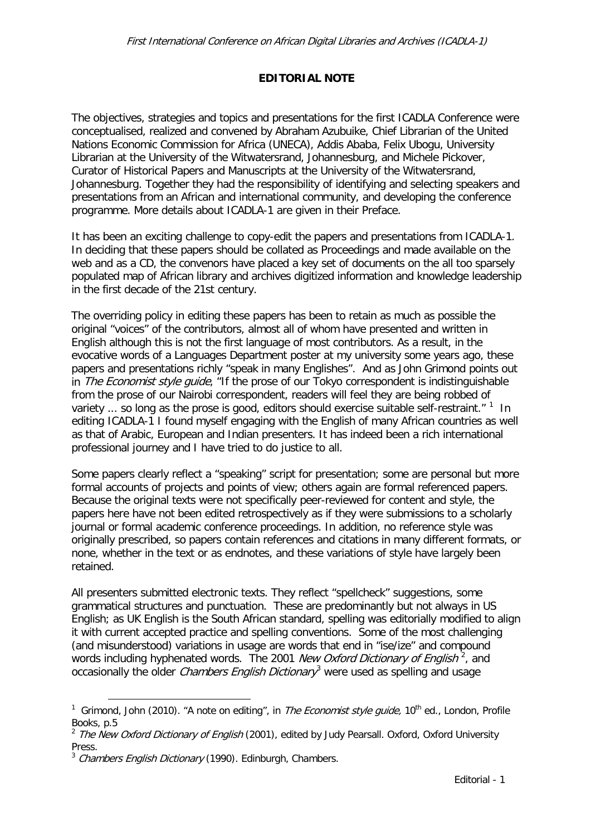## **EDITORIAL NOTE**

The objectives, strategies and topics and presentations for the first ICADLA Conference were conceptualised, realized and convened by Abraham Azubuike, Chief Librarian of the United Nations Economic Commission for Africa (UNECA), Addis Ababa, Felix Ubogu, University Librarian at the University of the Witwatersrand, Johannesburg, and Michele Pickover, Curator of Historical Papers and Manuscripts at the University of the Witwatersrand, Johannesburg. Together they had the responsibility of identifying and selecting speakers and presentations from an African and international community, and developing the conference programme. More details about ICADLA-1 are given in their Preface.

It has been an exciting challenge to copy-edit the papers and presentations from ICADLA-1. In deciding that these papers should be collated as Proceedings and made available on the web and as a CD, the convenors have placed a key set of documents on the all too sparsely populated map of African library and archives digitized information and knowledge leadership in the first decade of the 21st century.

The overriding policy in editing these papers has been to retain as much as possible the original "voices" of the contributors, almost all of whom have presented and written in English although this is not the first language of most contributors. As a result, in the evocative words of a Languages Department poster at my university some years ago, these papers and presentations richly "speak in many Englishes". And as John Grimond points out in *The Economist style quide*, "If the prose of our Tokyo correspondent is indistinguishable from the prose of our Nairobi correspondent, readers will feel they are being robbed of variety  $\ldots$  so long as the prose is good, editors should exercise suitable self-restraint."  $1$  In editing ICADLA-1 I found myself engaging with the English of many African countries as well as that of Arabic, European and Indian presenters. It has indeed been a rich international professional journey and I have tried to do justice to all.

Some papers clearly reflect a "speaking" script for presentation; some are personal but more formal accounts of projects and points of view; others again are formal referenced papers. Because the original texts were not specifically peer-reviewed for content and style, the papers here have not been edited retrospectively as if they were submissions to a scholarly journal or formal academic conference proceedings. In addition, no reference style was originally prescribed, so papers contain references and citations in many different formats, or none, whether in the text or as endnotes, and these variations of style have largely been retained.

All presenters submitted electronic texts. They reflect "spellcheck" suggestions, some grammatical structures and punctuation. These are predominantly but not always in US English; as UK English is the South African standard, spelling was editorially modified to align it with current accepted practice and spelling conventions. Some of the most challenging (and misunderstood) variations in usage are words that end in "ise/ize" and compound words including hyphenated words. The [2](#page-0-1)001 New Oxford Dictionary of English<sup>2</sup>, and occasionally the older *Chambers English Dictionary*<sup>[3](#page-0-2)</sup> were used as spelling and usage

<span id="page-0-0"></span> <sup>1</sup> Grimond, John (2010). "A note on editing", in The Economist style guide, 10th ed., London, Profile Books, p.5

<span id="page-0-1"></span><sup>&</sup>lt;sup>2</sup> The New Oxford Dictionary of English (2001), edited by Judy Pearsall. Oxford, Oxford University Press.

<span id="page-0-2"></span> $3$  Chambers English Dictionary (1990). Edinburgh, Chambers.